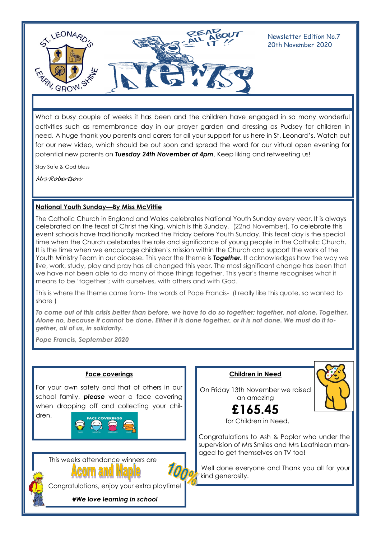

Newsletter Edition No.7 20th November 2020

What a busy couple of weeks it has been and the children have engaged in so many wonderful activities such as remembrance day in our prayer garden and dressing as Pudsey for children in need. A huge thank you parents and carers for all your support for us here in St. Leonard's. Watch out for our new video, which should be out soon and spread the word for our virtual open evening for potential new parents on *Tuesday 24th November at 4pm*. Keep liking and retweeting us!

Stay Safe & God bless

*Mrs Robertson*

# **National Youth Sunday—By Miss McVittie**

The Catholic Church in England and Wales celebrates National Youth Sunday every year. It is always celebrated on the feast of Christ the King, which is this Sunday, (22nd November). To celebrate this event schools have traditionally marked the Friday before Youth Sunday. This feast day is the special time when the Church celebrates the role and significance of young people in the Catholic Church. It is the time when we encourage children's mission within the Church and support the work of the Youth Ministry Team in our diocese. This year the theme is *Together.* It acknowledges how the way we live, work, study, play and pray has all changed this year. The most significant change has been that we have not been able to do many of those things together. This year's theme recognises what it means to be 'together'; with ourselves, with others and with God.

This is where the theme came from- the words of Pope Francis- (I really like this quote, so wanted to share )

*To come out of this crisis better than before, we have to do so together; together, not alone. Together. Alone no, because it cannot be done. Either it is done together, or it is not done. We must do it together, all of us, in solidarity.*

*Pope Francis, September 2020*



**Children in Need**

an amazing

for Children in Need.

Congratulations to Ash & Poplar who under the supervision of Mrs Smiles and Mrs Leathlean managed to get themselves on TV too!

Well done everyone and Thank you all for your kind generosity.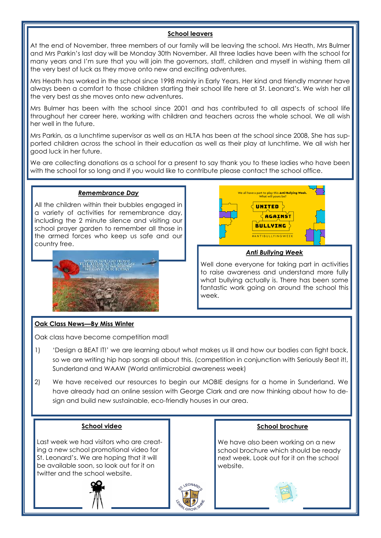## **School leavers**

At the end of November, three members of our family will be leaving the school. Mrs Heath, Mrs Bulmer and Mrs Parkin's last day will be Monday 30th November. All three ladies have been with the school for many years and I'm sure that you will join the governors, staff, children and myself in wishing them all the very best of luck as they move onto new and exciting adventures.

Mrs Heath has worked in the school since 1998 mainly in Early Years. Her kind and friendly manner have always been a comfort to those children starting their school life here at St. Leonard's. We wish her all the very best as she moves onto new adventures.

Mrs Bulmer has been with the school since 2001 and has contributed to all aspects of school life throughout her career here, working with children and teachers across the whole school. We all wish her well in the future.

Mrs Parkin, as a lunchtime supervisor as well as an HLTA has been at the school since 2008, She has supported children across the school in their education as well as their play at lunchtime. We all wish her good luck in her future.

We are collecting donations as a school for a present to say thank you to these ladies who have been with the school for so long and if you would like to contribute please contact the school office.

## *Remembrance Day*

All the children within their bubbles engaged in a variety of activities for remembrance day, including the 2 minute silence and visiting our school prayer garden to remember all those in the armed forces who keep us safe and our country free.





#### *Anti Bullying Week*

Well done everyone for taking part in activities to raise awareness and understand more fully what bullying actually is. There has been some fantastic work going on around the school this week.

# **Oak Class News—By Miss Winter**

Oak class have become competition mad!

- 1) 'Design a BEAT IT!' we are learning about what makes us ill and how our bodies can fight back, so we are writing hip hop songs all about this. (competition in conjunction with Seriously Beat it!, Sunderland and WAAW (World antimicrobial awareness week)
- 2) We have received our resources to begin our MOBIE designs for a home in Sunderland. We have already had an online session with George Clark and are now thinking about how to design and build new sustainable, eco-friendly houses in our area.

#### **School video**

Last week we had visitors who are creating a new school promotional video for St. Leonard's. We are hoping that it will be available soon, so look out for it on twitter and the school website.



#### **School brochure**

We have also been working on a new school brochure which should be ready next week. Look out for it on the school website.